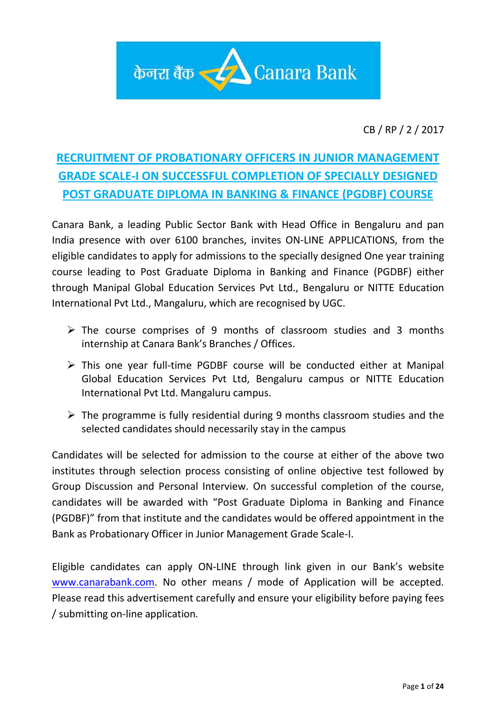

CB / RP / 2 / 2017

# **RECRUITMENT OF PROBATIONARY OFFICERS IN JUNIOR MANAGEMENT GRADE SCALE-I ON SUCCESSFUL COMPLETION OF SPECIALLY DESIGNED POST GRADUATE DIPLOMA IN BANKING & FINANCE (PGDBF) COURSE**

Canara Bank, a leading Public Sector Bank with Head Office in Bengaluru and pan India presence with over 6100 branches, invites ON-LINE APPLICATIONS, from the eligible candidates to apply for admissions to the specially designed One year training course leading to Post Graduate Diploma in Banking and Finance (PGDBF) either through Manipal Global Education Services Pvt Ltd., Bengaluru or NITTE Education International Pvt Ltd., Mangaluru, which are recognised by UGC.

- $\triangleright$  The course comprises of 9 months of classroom studies and 3 months internship at Canara Bank's Branches / Offices.
- $\triangleright$  This one year full-time PGDBF course will be conducted either at Manipal Global Education Services Pvt Ltd, Bengaluru campus or NITTE Education International Pvt Ltd. Mangaluru campus.
- $\triangleright$  The programme is fully residential during 9 months classroom studies and the selected candidates should necessarily stay in the campus

Candidates will be selected for admission to the course at either of the above two institutes through selection process consisting of online objective test followed by Group Discussion and Personal Interview. On successful completion of the course, candidates will be awarded with "Post Graduate Diploma in Banking and Finance (PGDBF)" from that institute and the candidates would be offered appointment in the Bank as Probationary Officer in Junior Management Grade Scale-I.

Eligible candidates can apply ON-LINE through link given in our Bank's website [www.canarabank.com.](http://www.canarabank.com/) No other means / mode of Application will be accepted. Please read this advertisement carefully and ensure your eligibility before paying fees / submitting on-line application*.*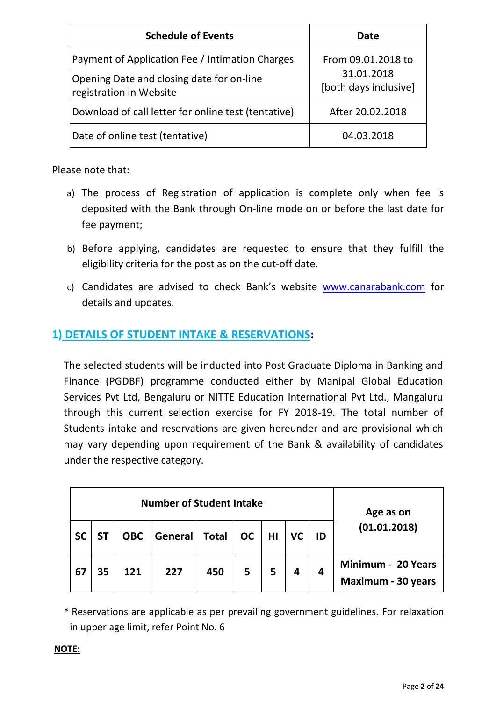| <b>Schedule of Events</b>                                            | Date                                |  |
|----------------------------------------------------------------------|-------------------------------------|--|
| Payment of Application Fee / Intimation Charges                      | From 09.01.2018 to                  |  |
| Opening Date and closing date for on-line<br>registration in Website | 31.01.2018<br>[both days inclusive] |  |
| Download of call letter for online test (tentative)                  | After 20.02.2018                    |  |
| Date of online test (tentative)                                      | 04.03.2018                          |  |

Please note that:

- a) The process of Registration of application is complete only when fee is deposited with the Bank through On-line mode on or before the last date for fee payment;
- b) Before applying, candidates are requested to ensure that they fulfill the eligibility criteria for the post as on the cut-off date.
- c) Candidates are advised to check Bank's website [www.canarabank.com](http://www.canarabank.com/) for details and updates.

# **1) DETAILS OF STUDENT INTAKE & RESERVATIONS:**

The selected students will be inducted into Post Graduate Diploma in Banking and Finance (PGDBF) programme conducted either by Manipal Global Education Services Pvt Ltd, Bengaluru or NITTE Education International Pvt Ltd., Mangaluru through this current selection exercise for FY 2018-19. The total number of Students intake and reservations are given hereunder and are provisional which may vary depending upon requirement of the Bank & availability of candidates under the respective category.

|           | <b>Number of Student Intake</b> |    |            |         |              |           |    | Age as on |    |                                                 |
|-----------|---------------------------------|----|------------|---------|--------------|-----------|----|-----------|----|-------------------------------------------------|
| <b>SC</b> |                                 |    | <b>OBC</b> | General | <b>Total</b> | <b>OC</b> | HI | VC        | ID | (01.01.2018)                                    |
| 67        |                                 | 35 | 121        | 227     | 450          | 5         | 5  | 4         | 4  | Minimum - 20 Years<br><b>Maximum - 30 years</b> |

\* Reservations are applicable as per prevailing government guidelines. For relaxation in upper age limit, refer Point No. 6

#### **NOTE:**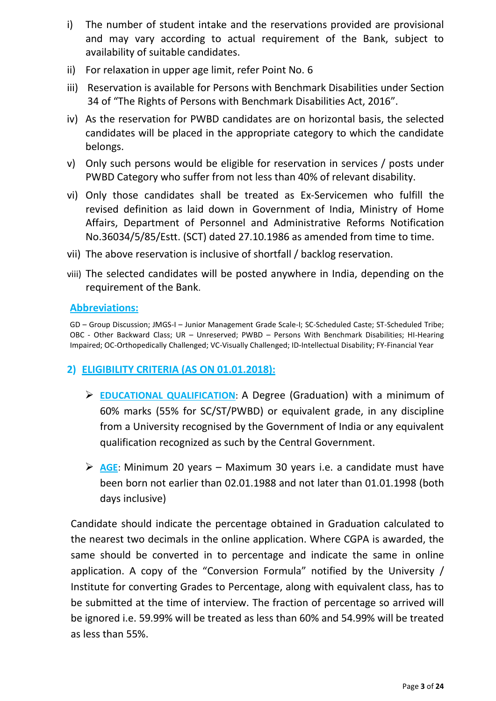- i) The number of student intake and the reservations provided are provisional and may vary according to actual requirement of the Bank, subject to availability of suitable candidates.
- ii) For relaxation in upper age limit, refer Point No. 6
- iii) Reservation is available for Persons with Benchmark Disabilities under Section 34 of "The Rights of Persons with Benchmark Disabilities Act, 2016".
- iv) As the reservation for PWBD candidates are on horizontal basis, the selected candidates will be placed in the appropriate category to which the candidate belongs.
- v) Only such persons would be eligible for reservation in services / posts under PWBD Category who suffer from not less than 40% of relevant disability.
- vi) Only those candidates shall be treated as Ex-Servicemen who fulfill the revised definition as laid down in Government of India, Ministry of Home Affairs, Department of Personnel and Administrative Reforms Notification No.36034/5/85/Estt. (SCT) dated 27.10.1986 as amended from time to time.
- vii) The above reservation is inclusive of shortfall / backlog reservation.
- viii) The selected candidates will be posted anywhere in India, depending on the requirement of the Bank.

### **Abbreviations:**

GD – Group Discussion; JMGS-I – Junior Management Grade Scale-I; SC-Scheduled Caste; ST-Scheduled Tribe; OBC - Other Backward Class; UR – Unreserved; PWBD – Persons With Benchmark Disabilities; HI-Hearing Impaired; OC-Orthopedically Challenged; VC-Visually Challenged; ID-Intellectual Disability; FY-Financial Year

# **2) ELIGIBILITY CRITERIA (AS ON 01.01.2018):**

- **EDUCATIONAL QUALIFICATION**: A Degree (Graduation) with a minimum of 60% marks (55% for SC/ST/PWBD) or equivalent grade, in any discipline from a University recognised by the Government of India or any equivalent qualification recognized as such by the Central Government.
- **AGE**: Minimum 20 years Maximum 30 years i.e. a candidate must have been born not earlier than 02.01.1988 and not later than 01.01.1998 (both days inclusive)

Candidate should indicate the percentage obtained in Graduation calculated to the nearest two decimals in the online application. Where CGPA is awarded, the same should be converted in to percentage and indicate the same in online application. A copy of the "Conversion Formula" notified by the University / Institute for converting Grades to Percentage, along with equivalent class, has to be submitted at the time of interview. The fraction of percentage so arrived will be ignored i.e. 59.99% will be treated as less than 60% and 54.99% will be treated as less than 55%.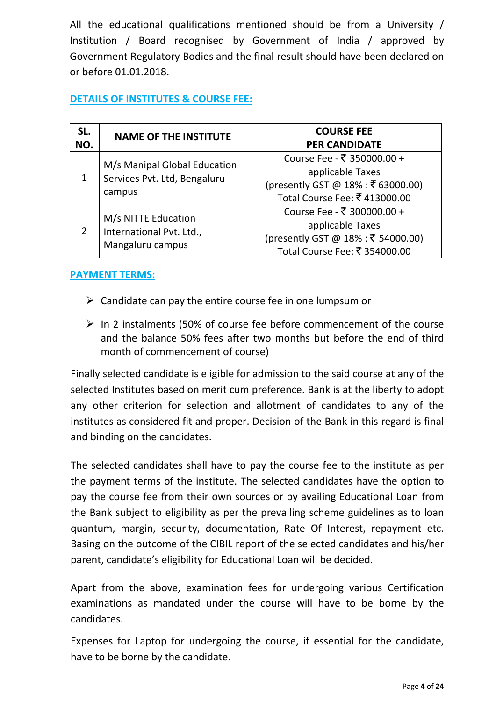All the educational qualifications mentioned should be from a University / Institution / Board recognised by Government of India / approved by Government Regulatory Bodies and the final result should have been declared on or before 01.01.2018.

### **DETAILS OF INSTITUTES & COURSE FEE:**

| SL.<br>NO. | <b>NAME OF THE INSTITUTE</b>                                           | <b>COURSE FEE</b><br><b>PER CANDIDATE</b>                                                                             |
|------------|------------------------------------------------------------------------|-----------------------------------------------------------------------------------------------------------------------|
|            | M/s Manipal Global Education<br>Services Pvt. Ltd, Bengaluru<br>campus | Course Fee - ₹ 350000.00 +<br>applicable Taxes<br>(presently GST @ 18% : ₹ 63000.00)<br>Total Course Fee: ₹413000.00  |
| 2          | M/s NITTE Education<br>International Pvt. Ltd.,<br>Mangaluru campus    | Course Fee - ₹ 300000.00 +<br>applicable Taxes<br>(presently GST @ 18% : ₹ 54000.00)<br>Total Course Fee: ₹ 354000.00 |

### **PAYMENT TERMS:**

- $\triangleright$  Candidate can pay the entire course fee in one lumpsum or
- $\triangleright$  In 2 instalments (50% of course fee before commencement of the course and the balance 50% fees after two months but before the end of third month of commencement of course)

Finally selected candidate is eligible for admission to the said course at any of the selected Institutes based on merit cum preference. Bank is at the liberty to adopt any other criterion for selection and allotment of candidates to any of the institutes as considered fit and proper. Decision of the Bank in this regard is final and binding on the candidates.

The selected candidates shall have to pay the course fee to the institute as per the payment terms of the institute. The selected candidates have the option to pay the course fee from their own sources or by availing Educational Loan from the Bank subject to eligibility as per the prevailing scheme guidelines as to loan quantum, margin, security, documentation, Rate Of Interest, repayment etc. Basing on the outcome of the CIBIL report of the selected candidates and his/her parent, candidate's eligibility for Educational Loan will be decided.

Apart from the above, examination fees for undergoing various Certification examinations as mandated under the course will have to be borne by the candidates.

Expenses for Laptop for undergoing the course, if essential for the candidate, have to be borne by the candidate.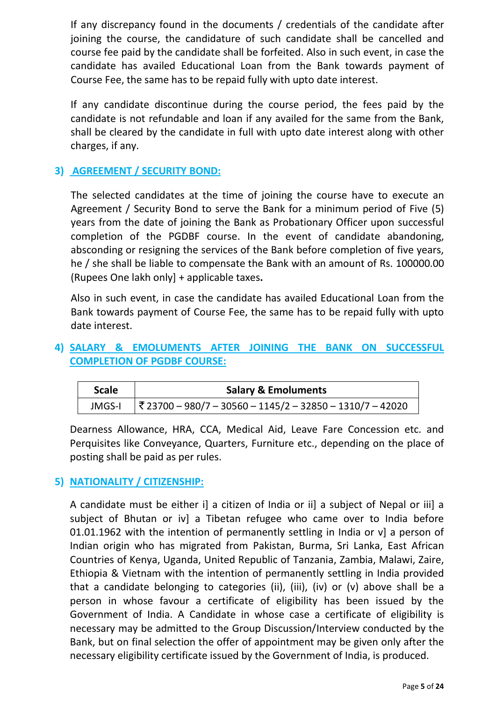If any discrepancy found in the documents / credentials of the candidate after joining the course, the candidature of such candidate shall be cancelled and course fee paid by the candidate shall be forfeited. Also in such event, in case the candidate has availed Educational Loan from the Bank towards payment of Course Fee, the same has to be repaid fully with upto date interest.

If any candidate discontinue during the course period, the fees paid by the candidate is not refundable and loan if any availed for the same from the Bank, shall be cleared by the candidate in full with upto date interest along with other charges, if any.

# **3) AGREEMENT / SECURITY BOND:**

The selected candidates at the time of joining the course have to execute an Agreement / Security Bond to serve the Bank for a minimum period of Five (5) years from the date of joining the Bank as Probationary Officer upon successful completion of the PGDBF course. In the event of candidate abandoning, absconding or resigning the services of the Bank before completion of five years, he / she shall be liable to compensate the Bank with an amount of Rs. 100000.00 (Rupees One lakh only] + applicable taxes**.**

Also in such event, in case the candidate has availed Educational Loan from the Bank towards payment of Course Fee, the same has to be repaid fully with upto date interest.

# **4) SALARY & EMOLUMENTS AFTER JOINING THE BANK ON SUCCESSFUL COMPLETION OF PGDBF COURSE:**

| <b>Scale</b> | <b>Salary &amp; Emoluments</b>                                         |
|--------------|------------------------------------------------------------------------|
| JMGS-I       | $ \overline{3}23700 - 980/7 - 30560 - 1145/2 - 32850 - 1310/7 - 42020$ |

Dearness Allowance, HRA, CCA, Medical Aid, Leave Fare Concession etc. and Perquisites like Conveyance, Quarters, Furniture etc., depending on the place of posting shall be paid as per rules.

# **5) NATIONALITY / CITIZENSHIP:**

A candidate must be either i] a citizen of India or ii] a subject of Nepal or iii] a subject of Bhutan or iv] a Tibetan refugee who came over to India before 01.01.1962 with the intention of permanently settling in India or v] a person of Indian origin who has migrated from Pakistan, Burma, Sri Lanka, East African Countries of Kenya, Uganda, United Republic of Tanzania, Zambia, Malawi, Zaire, Ethiopia & Vietnam with the intention of permanently settling in India provided that a candidate belonging to categories (ii), (iii), (iv) or (v) above shall be a person in whose favour a certificate of eligibility has been issued by the Government of India. A Candidate in whose case a certificate of eligibility is necessary may be admitted to the Group Discussion/Interview conducted by the Bank, but on final selection the offer of appointment may be given only after the necessary eligibility certificate issued by the Government of India, is produced.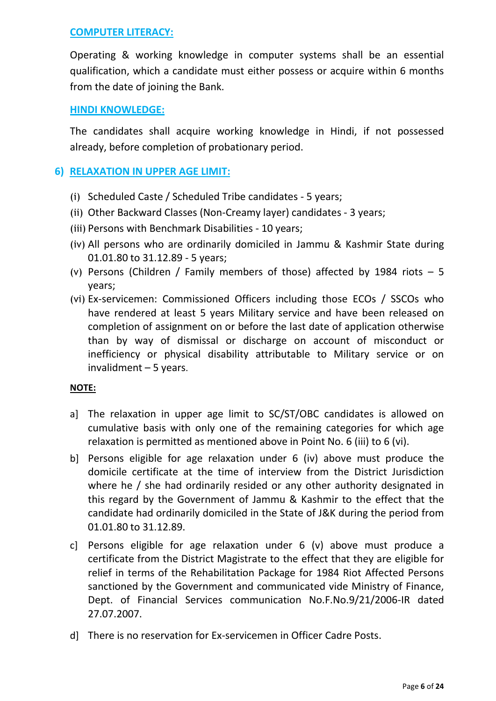### **COMPUTER LITERACY:**

Operating & working knowledge in computer systems shall be an essential qualification, which a candidate must either possess or acquire within 6 months from the date of joining the Bank.

### **HINDI KNOWLEDGE:**

The candidates shall acquire working knowledge in Hindi, if not possessed already, before completion of probationary period.

# **6) RELAXATION IN UPPER AGE LIMIT:**

- (i) Scheduled Caste / Scheduled Tribe candidates 5 years;
- (ii) Other Backward Classes (Non-Creamy layer) candidates 3 years;
- (iii) Persons with Benchmark Disabilities 10 years;
- (iv) All persons who are ordinarily domiciled in Jammu & Kashmir State during 01.01.80 to 31.12.89 - 5 years;
- (v) Persons (Children / Family members of those) affected by 1984 riots  $-5$ years;
- (vi) Ex-servicemen: Commissioned Officers including those ECOs / SSCOs who have rendered at least 5 years Military service and have been released on completion of assignment on or before the last date of application otherwise than by way of dismissal or discharge on account of misconduct or inefficiency or physical disability attributable to Military service or on invalidment – 5 years.

### **NOTE:**

- a] The relaxation in upper age limit to SC/ST/OBC candidates is allowed on cumulative basis with only one of the remaining categories for which age relaxation is permitted as mentioned above in Point No. 6 (iii) to 6 (vi).
- b] Persons eligible for age relaxation under 6 (iv) above must produce the domicile certificate at the time of interview from the District Jurisdiction where he / she had ordinarily resided or any other authority designated in this regard by the Government of Jammu & Kashmir to the effect that the candidate had ordinarily domiciled in the State of J&K during the period from 01.01.80 to 31.12.89.
- c] Persons eligible for age relaxation under 6 (v) above must produce a certificate from the District Magistrate to the effect that they are eligible for relief in terms of the Rehabilitation Package for 1984 Riot Affected Persons sanctioned by the Government and communicated vide Ministry of Finance, Dept. of Financial Services communication No.F.No.9/21/2006-IR dated 27.07.2007.
- d] There is no reservation for Ex-servicemen in Officer Cadre Posts.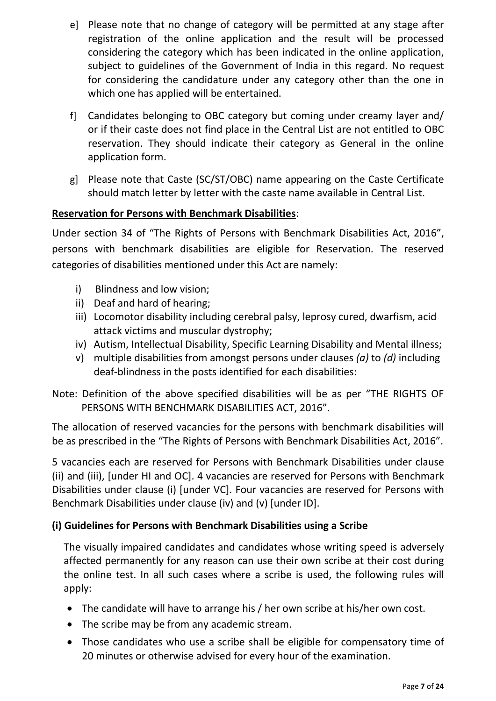- e] Please note that no change of category will be permitted at any stage after registration of the online application and the result will be processed considering the category which has been indicated in the online application, subject to guidelines of the Government of India in this regard. No request for considering the candidature under any category other than the one in which one has applied will be entertained.
- f] Candidates belonging to OBC category but coming under creamy layer and/ or if their caste does not find place in the Central List are not entitled to OBC reservation. They should indicate their category as General in the online application form.
- g] Please note that Caste (SC/ST/OBC) name appearing on the Caste Certificate should match letter by letter with the caste name available in Central List.

# **Reservation for Persons with Benchmark Disabilities**:

Under section 34 of "The Rights of Persons with Benchmark Disabilities Act, 2016", persons with benchmark disabilities are eligible for Reservation. The reserved categories of disabilities mentioned under this Act are namely:

- i) Blindness and low vision;
- ii) Deaf and hard of hearing;
- iii) Locomotor disability including cerebral palsy, leprosy cured, dwarfism, acid attack victims and muscular dystrophy;
- iv) Autism, Intellectual Disability, Specific Learning Disability and Mental illness;
- v) multiple disabilities from amongst persons under clauses *(a)* to *(d)* including deaf-blindness in the posts identified for each disabilities:

Note: Definition of the above specified disabilities will be as per "THE RIGHTS OF PERSONS WITH BENCHMARK DISABILITIES ACT, 2016".

The allocation of reserved vacancies for the persons with benchmark disabilities will be as prescribed in the "The Rights of Persons with Benchmark Disabilities Act, 2016".

5 vacancies each are reserved for Persons with Benchmark Disabilities under clause (ii) and (iii), [under HI and OC]. 4 vacancies are reserved for Persons with Benchmark Disabilities under clause (i) [under VC]. Four vacancies are reserved for Persons with Benchmark Disabilities under clause (iv) and (v) [under ID].

# **(i) Guidelines for Persons with Benchmark Disabilities using a Scribe**

The visually impaired candidates and candidates whose writing speed is adversely affected permanently for any reason can use their own scribe at their cost during the online test. In all such cases where a scribe is used, the following rules will apply:

- The candidate will have to arrange his / her own scribe at his/her own cost.
- The scribe may be from any academic stream.
- Those candidates who use a scribe shall be eligible for compensatory time of 20 minutes or otherwise advised for every hour of the examination.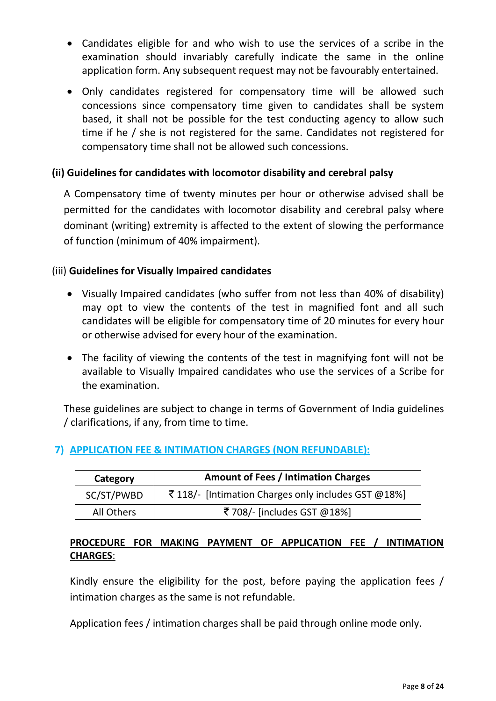- Candidates eligible for and who wish to use the services of a scribe in the examination should invariably carefully indicate the same in the online application form. Any subsequent request may not be favourably entertained.
- Only candidates registered for compensatory time will be allowed such concessions since compensatory time given to candidates shall be system based, it shall not be possible for the test conducting agency to allow such time if he / she is not registered for the same. Candidates not registered for compensatory time shall not be allowed such concessions.

### **(ii) Guidelines for candidates with locomotor disability and cerebral palsy**

A Compensatory time of twenty minutes per hour or otherwise advised shall be permitted for the candidates with locomotor disability and cerebral palsy where dominant (writing) extremity is affected to the extent of slowing the performance of function (minimum of 40% impairment).

### (iii) **Guidelines for Visually Impaired candidates**

- Visually Impaired candidates (who suffer from not less than 40% of disability) may opt to view the contents of the test in magnified font and all such candidates will be eligible for compensatory time of 20 minutes for every hour or otherwise advised for every hour of the examination.
- The facility of viewing the contents of the test in magnifying font will not be available to Visually Impaired candidates who use the services of a Scribe for the examination.

These guidelines are subject to change in terms of Government of India guidelines / clarifications, if any, from time to time.

### **7) APPLICATION FEE & INTIMATION CHARGES (NON REFUNDABLE):**

| <b>Amount of Fees / Intimation Charges</b><br>Category |                                                    |  |  |
|--------------------------------------------------------|----------------------------------------------------|--|--|
| SC/ST/PWBD                                             | ₹118/- [Intimation Charges only includes GST @18%] |  |  |
| All Others                                             | ₹708/- [includes GST @18%]                         |  |  |

### **PROCEDURE FOR MAKING PAYMENT OF APPLICATION FEE / INTIMATION CHARGES**:

Kindly ensure the eligibility for the post, before paying the application fees / intimation charges as the same is not refundable.

Application fees / intimation charges shall be paid through online mode only.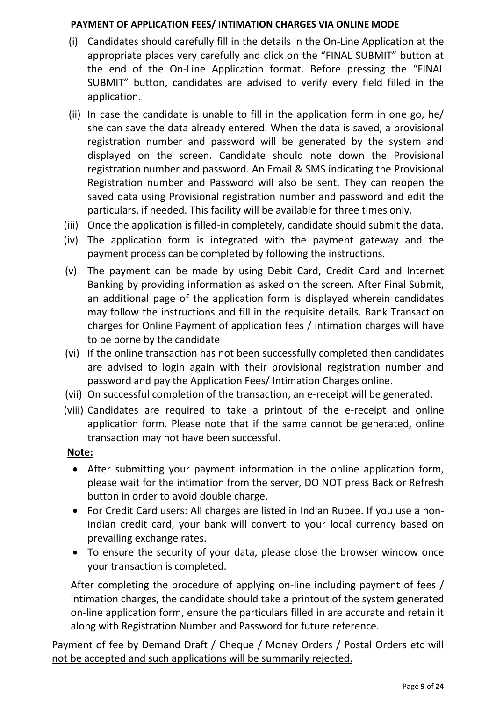### **PAYMENT OF APPLICATION FEES/ INTIMATION CHARGES VIA ONLINE MODE**

- (i) Candidates should carefully fill in the details in the On-Line Application at the appropriate places very carefully and click on the "FINAL SUBMIT" button at the end of the On-Line Application format. Before pressing the "FINAL SUBMIT" button, candidates are advised to verify every field filled in the application.
- (ii) In case the candidate is unable to fill in the application form in one go, he/ she can save the data already entered. When the data is saved, a provisional registration number and password will be generated by the system and displayed on the screen. Candidate should note down the Provisional registration number and password. An Email & SMS indicating the Provisional Registration number and Password will also be sent. They can reopen the saved data using Provisional registration number and password and edit the particulars, if needed. This facility will be available for three times only.
- (iii) Once the application is filled-in completely, candidate should submit the data.
- (iv) The application form is integrated with the payment gateway and the payment process can be completed by following the instructions.
- (v) The payment can be made by using Debit Card, Credit Card and Internet Banking by providing information as asked on the screen. After Final Submit, an additional page of the application form is displayed wherein candidates may follow the instructions and fill in the requisite details. Bank Transaction charges for Online Payment of application fees / intimation charges will have to be borne by the candidate
- (vi) If the online transaction has not been successfully completed then candidates are advised to login again with their provisional registration number and password and pay the Application Fees/ Intimation Charges online.
- (vii) On successful completion of the transaction, an e-receipt will be generated.
- (viii) Candidates are required to take a printout of the e-receipt and online application form. Please note that if the same cannot be generated, online transaction may not have been successful.

# **Note:**

- After submitting your payment information in the online application form, please wait for the intimation from the server, DO NOT press Back or Refresh button in order to avoid double charge.
- For Credit Card users: All charges are listed in Indian Rupee. If you use a non-Indian credit card, your bank will convert to your local currency based on prevailing exchange rates.
- To ensure the security of your data, please close the browser window once your transaction is completed.

After completing the procedure of applying on-line including payment of fees / intimation charges, the candidate should take a printout of the system generated on-line application form, ensure the particulars filled in are accurate and retain it along with Registration Number and Password for future reference.

Payment of fee by Demand Draft / Cheque / Money Orders / Postal Orders etc will not be accepted and such applications will be summarily rejected.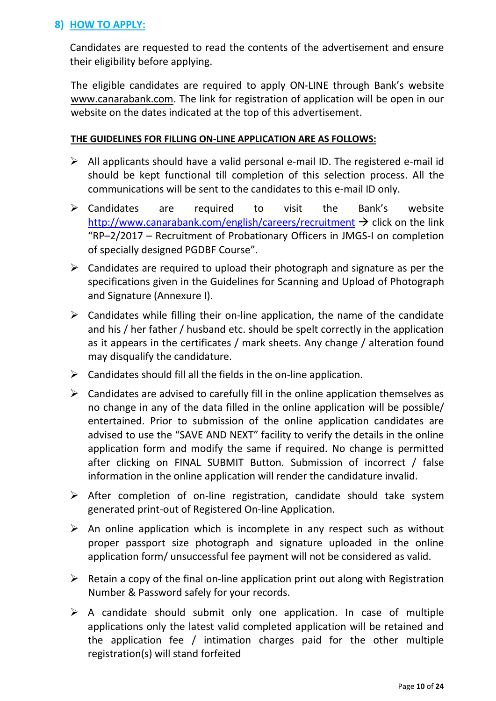# **8) HOW TO APPLY:**

Candidates are requested to read the contents of the advertisement and ensure their eligibility before applying.

The eligible candidates are required to apply ON-LINE through Bank's website [www.canarabank.com.](http://www.canarabank.com/) The link for registration of application will be open in our website on the dates indicated at the top of this advertisement.

#### **THE GUIDELINES FOR FILLING ON-LINE APPLICATION ARE AS FOLLOWS:**

- $\triangleright$  All applicants should have a valid personal e-mail ID. The registered e-mail id should be kept functional till completion of this selection process. All the communications will be sent to the candidates to this e-mail ID only.
- Candidates are required to visit the Bank's website <http://www.canarabank.com/english/careers/recruitment>  $\rightarrow$  click on the link "RP–2/2017 – Recruitment of Probationary Officers in JMGS-I on completion of specially designed PGDBF Course".
- $\triangleright$  Candidates are required to upload their photograph and signature as per the specifications given in the Guidelines for Scanning and Upload of Photograph and Signature (Annexure I).
- $\triangleright$  Candidates while filling their on-line application, the name of the candidate and his / her father / husband etc. should be spelt correctly in the application as it appears in the certificates / mark sheets. Any change / alteration found may disqualify the candidature.
- $\triangleright$  Candidates should fill all the fields in the on-line application.
- $\triangleright$  Candidates are advised to carefully fill in the online application themselves as no change in any of the data filled in the online application will be possible/ entertained. Prior to submission of the online application candidates are advised to use the "SAVE AND NEXT" facility to verify the details in the online application form and modify the same if required. No change is permitted after clicking on FINAL SUBMIT Button. Submission of incorrect / false information in the online application will render the candidature invalid.
- $\triangleright$  After completion of on-line registration, candidate should take system generated print-out of Registered On-line Application.
- $\triangleright$  An online application which is incomplete in any respect such as without proper passport size photograph and signature uploaded in the online application form/ unsuccessful fee payment will not be considered as valid.
- $\triangleright$  Retain a copy of the final on-line application print out along with Registration Number & Password safely for your records.
- $\triangleright$  A candidate should submit only one application. In case of multiple applications only the latest valid completed application will be retained and the application fee / intimation charges paid for the other multiple registration(s) will stand forfeited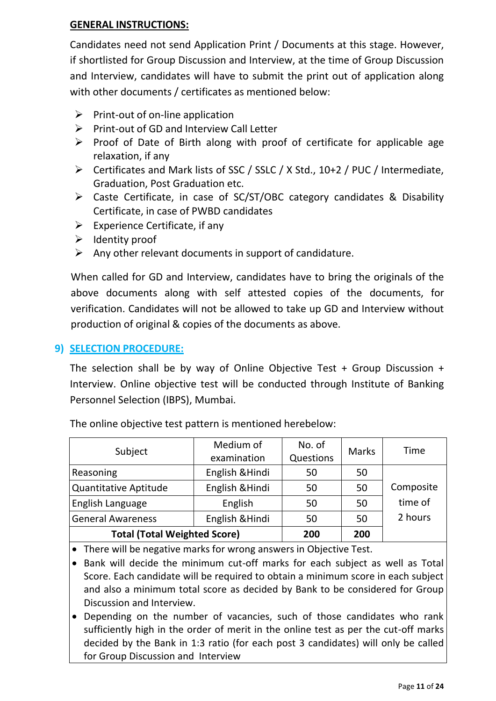### **GENERAL INSTRUCTIONS:**

Candidates need not send Application Print / Documents at this stage. However, if shortlisted for Group Discussion and Interview, at the time of Group Discussion and Interview, candidates will have to submit the print out of application along with other documents / certificates as mentioned below:

- $\triangleright$  Print-out of on-line application
- $\triangleright$  Print-out of GD and Interview Call Letter
- $\triangleright$  Proof of Date of Birth along with proof of certificate for applicable age relaxation, if any
- Certificates and Mark lists of SSC / SSLC / X Std., 10+2 / PUC / Intermediate, Graduation, Post Graduation etc.
- Caste Certificate, in case of SC/ST/OBC category candidates & Disability Certificate, in case of PWBD candidates
- $\triangleright$  Experience Certificate, if any
- $\triangleright$  Identity proof
- $\triangleright$  Any other relevant documents in support of candidature.

When called for GD and Interview, candidates have to bring the originals of the above documents along with self attested copies of the documents, for verification. Candidates will not be allowed to take up GD and Interview without production of original & copies of the documents as above.

# **9) SELECTION PROCEDURE:**

The selection shall be by way of Online Objective Test + Group Discussion + Interview. Online objective test will be conducted through Institute of Banking Personnel Selection (IBPS), Mumbai.

| Subject                             | Medium of       | No. of    | <b>Marks</b> | <b>Time</b> |
|-------------------------------------|-----------------|-----------|--------------|-------------|
|                                     | examination     | Questions |              |             |
| Reasoning                           | English & Hindi | 50        | 50           |             |
| Quantitative Aptitude               | English & Hindi | 50        | 50           | Composite   |
| English Language                    | English         | 50        | 50           | time of     |
| <b>General Awareness</b>            | English & Hindi | 50        | 50           | 2 hours     |
| <b>Total (Total Weighted Score)</b> |                 | 200       | 200          |             |

The online objective test pattern is mentioned herebelow:

There will be negative marks for wrong answers in Objective Test.

 Bank will decide the minimum cut-off marks for each subject as well as Total Score. Each candidate will be required to obtain a minimum score in each subject and also a minimum total score as decided by Bank to be considered for Group Discussion and Interview.

 Depending on the number of vacancies, such of those candidates who rank sufficiently high in the order of merit in the online test as per the cut-off marks decided by the Bank in 1:3 ratio (for each post 3 candidates) will only be called for Group Discussion and Interview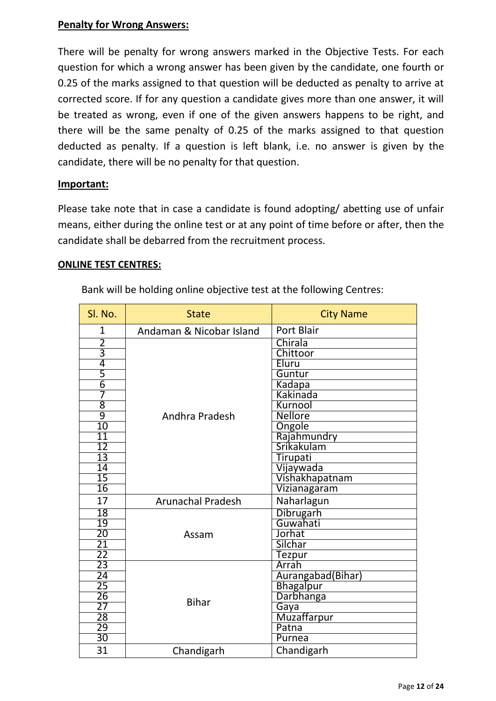### **Penalty for Wrong Answers:**

There will be penalty for wrong answers marked in the Objective Tests. For each question for which a wrong answer has been given by the candidate, one fourth or 0.25 of the marks assigned to that question will be deducted as penalty to arrive at corrected score. If for any question a candidate gives more than one answer, it will be treated as wrong, even if one of the given answers happens to be right, and there will be the same penalty of 0.25 of the marks assigned to that question deducted as penalty. If a question is left blank, i.e. no answer is given by the candidate, there will be no penalty for that question.

### **Important:**

Please take note that in case a candidate is found adopting/ abetting use of unfair means, either during the online test or at any point of time before or after, then the candidate shall be debarred from the recruitment process.

#### **ONLINE TEST CENTRES:**

Bank will be holding online objective test at the following Centres:

| SI. No.         | <b>State</b>             | <b>City Name</b>   |
|-----------------|--------------------------|--------------------|
| 1               | Andaman & Nicobar Island | <b>Port Blair</b>  |
| $\overline{2}$  |                          | Chirala            |
| $\overline{3}$  |                          | Chittoor           |
| 4               |                          | Eluru              |
| 5               |                          | Guntur             |
| $\overline{6}$  |                          | Kadapa             |
| 7               |                          | Kakinada           |
| 8               |                          | Kurnool            |
| $\overline{9}$  | Andhra Pradesh           | Nellore            |
| 10              |                          | Ongole             |
| $\overline{11}$ |                          | Rajahmundry        |
| $\overline{12}$ |                          | Srikakulam         |
| $\overline{13}$ |                          | Tirupati           |
| $\overline{14}$ |                          | Vijaywada          |
| 15              |                          | Vishakhapatnam     |
| 16              |                          | Vizianagaram       |
| 17              | <b>Arunachal Pradesh</b> | Naharlagun         |
| 18              |                          | Dibrugarh          |
| 19              | Assam                    | Guwahati           |
| $\overline{20}$ |                          | Jorhat             |
| $\frac{21}{22}$ |                          | Silchar            |
|                 |                          | Tezpur             |
| 23              |                          | Arrah              |
| 24              |                          | Aurangabad(Bihar)  |
| $\overline{25}$ |                          | <b>Bhagalpur</b>   |
| 26              | <b>Bihar</b>             | Darbhanga          |
| 27              |                          | Gaya               |
| $\overline{28}$ |                          | <b>Muzaffarpur</b> |
| $\overline{29}$ |                          | Patna              |
| $\overline{30}$ |                          | Purnea             |
| 31              | Chandigarh               | Chandigarh         |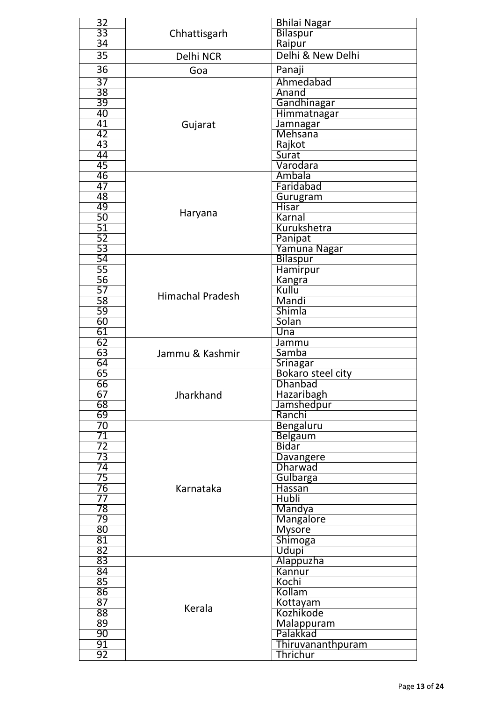| 32                    |                         | <b>Bhilai Nagar</b>      |
|-----------------------|-------------------------|--------------------------|
| $\overline{33}$       | Chhattisgarh            | Bilaspur                 |
| 34                    |                         | Raipur                   |
| 35                    | Delhi NCR               | Delhi & New Delhi        |
| 36                    | Goa                     | Panaji                   |
|                       |                         |                          |
| 37                    |                         | Ahmedabad                |
| $\overline{38}$       |                         | Anand                    |
| 39                    |                         | Gandhinagar              |
| 40                    |                         | Himmatnagar              |
| 41                    | Gujarat                 | Jamnagar                 |
| 42<br>43              |                         | Mehsana                  |
|                       |                         | Rajkot                   |
| 44                    |                         | Surat<br>Varodara        |
| 45                    |                         |                          |
| 46<br>47              |                         | Ambala<br>Faridabad      |
|                       |                         |                          |
| 48<br>49              |                         | Gurugram<br><b>Hisar</b> |
|                       | Haryana                 | Karnal                   |
| 50<br>$\overline{51}$ |                         | Kurukshetra              |
| 52                    |                         |                          |
| $\overline{53}$       |                         | Panipat                  |
|                       |                         | Yamuna Nagar             |
| $\frac{54}{55}$       |                         | Bilaspur                 |
| 56                    |                         | Hamirpur                 |
| 57                    |                         | Kangra<br>Kullu          |
| 58                    | <b>Himachal Pradesh</b> | Mandi                    |
| 59                    |                         | Shimla                   |
|                       |                         | Solan                    |
| $\frac{60}{61}$       |                         | Una                      |
| 62                    |                         | Jammu                    |
| 63                    | Jammu & Kashmir         | Samba                    |
| 64                    |                         | Srinagar                 |
| 65                    |                         | Bokaro steel city        |
| 66                    |                         | <b>Dhanbad</b>           |
| 67                    | Jharkhand               | Hazaribagh               |
| 68                    |                         | Jamshedpur               |
| 69                    |                         | Ranchi                   |
| 70                    |                         | Bengaluru                |
| 71                    |                         | <b>Belgaum</b>           |
|                       |                         | <b>Bidar</b>             |
| 72<br>73              |                         | Davangere                |
| 74                    |                         | Dharwad                  |
| $\overline{75}$       |                         | Gulbarga                 |
| 76                    | Karnataka               | <b>Hassan</b>            |
| $\overline{77}$       |                         | <b>Hubli</b>             |
| 78                    |                         | Mandya                   |
| 79                    |                         | <b>Mangalore</b>         |
| $80\,$                |                         | <b>Mysore</b>            |
| $\overline{81}$       |                         | Shimoga                  |
| 82                    |                         | Udupi                    |
| 83                    |                         | Alappuzha                |
| 84                    |                         | Kannur                   |
| 85                    |                         | Kochi                    |
| $\frac{1}{86}$        |                         | Kollam                   |
| $\overline{87}$       | Kerala                  | Kottayam                 |
| 88                    |                         | Kozhikode                |
| 89                    |                         | Malappuram               |
| 90                    |                         | Palakkad                 |
| 91                    |                         | Thiruvananthpuram        |
| 92                    |                         | Thrichur                 |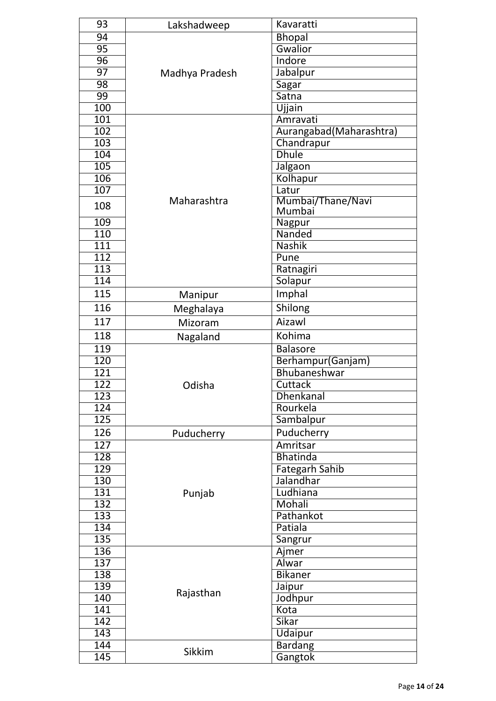| 93               | Lakshadweep    | Kavaratti               |  |
|------------------|----------------|-------------------------|--|
| 94               |                | <b>Bhopal</b>           |  |
| $\overline{95}$  |                | Gwalior                 |  |
| 96               |                | Indore                  |  |
| $\overline{97}$  | Madhya Pradesh | Jabalpur                |  |
| $\overline{98}$  |                | Sagar                   |  |
| 99               |                | Satna                   |  |
| 100              |                | Ujjain                  |  |
| 101              |                | Amravati                |  |
| 102              |                | Aurangabad(Maharashtra) |  |
| 103              |                | Chandrapur              |  |
| 104              |                | <b>Dhule</b>            |  |
| 105              |                | Jalgaon                 |  |
| 106              |                | Kolhapur                |  |
| 107              |                | Latur                   |  |
|                  | Maharashtra    | Mumbai/Thane/Navi       |  |
| 108              |                | Mumbai                  |  |
| 109              |                | Nagpur                  |  |
| 110              |                | Nanded                  |  |
| 111              |                | <b>Nashik</b>           |  |
| $\overline{112}$ |                | Pune                    |  |
| 113              |                | Ratnagiri               |  |
| 114              |                | Solapur                 |  |
| 115              | Manipur        | Imphal                  |  |
| 116              | Meghalaya      | Shilong                 |  |
| 117              | Mizoram        | Aizawl                  |  |
| 118              | Nagaland       | Kohima                  |  |
| 119              |                | <b>Balasore</b>         |  |
| 120              |                | Berhampur(Ganjam)       |  |
| 121              |                | Bhubaneshwar            |  |
| $\overline{122}$ | Odisha         | Cuttack                 |  |
| 123              |                | Dhenkanal               |  |
| 124              |                | Rourkela                |  |
| 125              |                | Sambalpur               |  |
| 126              | Puducherry     | Puducherry              |  |
| 127              |                | Amritsar                |  |
| 128              |                | <b>Bhatinda</b>         |  |
| 129              |                | <b>Fategarh Sahib</b>   |  |
| 130              |                | Jalandhar               |  |
| 131              | Punjab         | Ludhiana                |  |
| 132              |                | Mohali                  |  |
| 133              |                | Pathankot               |  |
| 134              |                | Patiala                 |  |
| 135              |                | Sangrur                 |  |
| 136              |                | Ajmer                   |  |
| 137              |                | Alwar                   |  |
| 138              |                | <b>Bikaner</b>          |  |
| 139              |                | Jaipur                  |  |
| 140              | Rajasthan      | Jodhpur                 |  |
| $\overline{141}$ |                | Kota                    |  |
| 142              |                | <b>Sikar</b>            |  |
| 143              |                | <b>Udaipur</b>          |  |
| 144              |                | <b>Bardang</b>          |  |
| 145              | Sikkim         | Gangtok                 |  |
|                  |                |                         |  |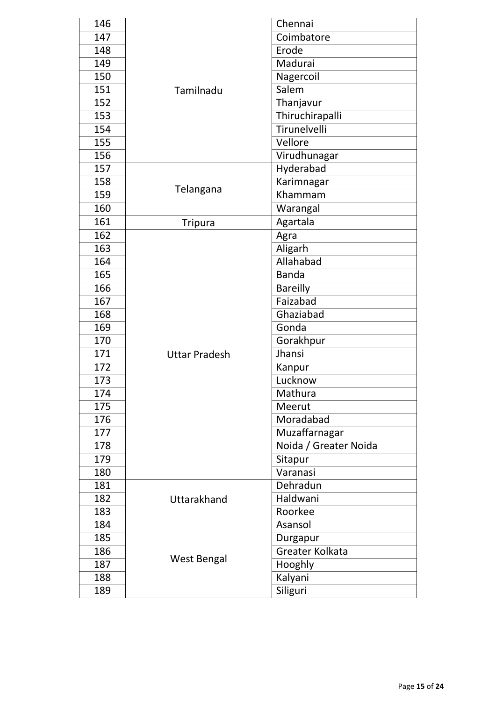| 146 |                      | Chennai               |
|-----|----------------------|-----------------------|
| 147 |                      | Coimbatore            |
| 148 |                      | Erode                 |
| 149 |                      | Madurai               |
| 150 |                      | Nagercoil             |
| 151 | Tamilnadu            | Salem                 |
| 152 |                      | Thanjavur             |
| 153 |                      | Thiruchirapalli       |
| 154 |                      | Tirunelvelli          |
| 155 |                      | Vellore               |
| 156 |                      | Virudhunagar          |
| 157 |                      | Hyderabad             |
| 158 | Telangana            | Karimnagar            |
| 159 |                      | Khammam               |
| 160 |                      | Warangal              |
| 161 | <b>Tripura</b>       | Agartala              |
| 162 |                      | Agra                  |
| 163 |                      | Aligarh               |
| 164 |                      | Allahabad             |
| 165 |                      | <b>Banda</b>          |
| 166 |                      | <b>Bareilly</b>       |
| 167 |                      | Faizabad              |
| 168 |                      | Ghaziabad             |
| 169 |                      | Gonda                 |
| 170 |                      | Gorakhpur             |
| 171 | <b>Uttar Pradesh</b> | Jhansi                |
| 172 |                      | Kanpur                |
| 173 |                      | Lucknow               |
| 174 |                      | Mathura               |
| 175 |                      | Meerut                |
| 176 |                      | Moradabad             |
| 177 |                      | Muzaffarnagar         |
| 178 |                      | Noida / Greater Noida |
| 179 |                      | Sitapur               |
| 180 |                      | Varanasi              |
| 181 |                      | Dehradun              |
| 182 | Uttarakhand          | Haldwani              |
| 183 |                      | Roorkee               |
| 184 |                      | Asansol               |
| 185 |                      | Durgapur              |
| 186 |                      | Greater Kolkata       |
| 187 | <b>West Bengal</b>   | Hooghly               |
| 188 |                      | Kalyani               |
| 189 |                      | Siliguri              |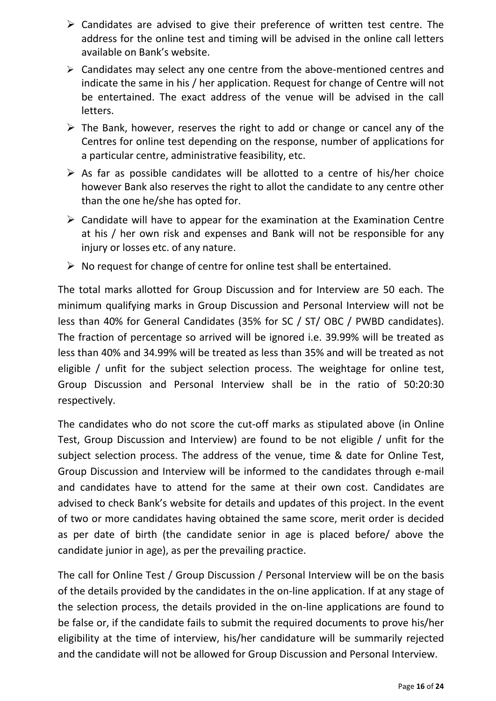- $\triangleright$  Candidates are advised to give their preference of written test centre. The address for the online test and timing will be advised in the online call letters available on Bank's website.
- $\triangleright$  Candidates may select any one centre from the above-mentioned centres and indicate the same in his / her application. Request for change of Centre will not be entertained. The exact address of the venue will be advised in the call letters.
- $\triangleright$  The Bank, however, reserves the right to add or change or cancel any of the Centres for online test depending on the response, number of applications for a particular centre, administrative feasibility, etc.
- $\triangleright$  As far as possible candidates will be allotted to a centre of his/her choice however Bank also reserves the right to allot the candidate to any centre other than the one he/she has opted for.
- $\triangleright$  Candidate will have to appear for the examination at the Examination Centre at his / her own risk and expenses and Bank will not be responsible for any injury or losses etc. of any nature.
- $\triangleright$  No request for change of centre for online test shall be entertained.

The total marks allotted for Group Discussion and for Interview are 50 each. The minimum qualifying marks in Group Discussion and Personal Interview will not be less than 40% for General Candidates (35% for SC / ST/ OBC / PWBD candidates). The fraction of percentage so arrived will be ignored i.e. 39.99% will be treated as less than 40% and 34.99% will be treated as less than 35% and will be treated as not eligible / unfit for the subject selection process. The weightage for online test, Group Discussion and Personal Interview shall be in the ratio of 50:20:30 respectively.

The candidates who do not score the cut-off marks as stipulated above (in Online Test, Group Discussion and Interview) are found to be not eligible / unfit for the subject selection process. The address of the venue, time & date for Online Test, Group Discussion and Interview will be informed to the candidates through e-mail and candidates have to attend for the same at their own cost. Candidates are advised to check Bank's website for details and updates of this project. In the event of two or more candidates having obtained the same score, merit order is decided as per date of birth (the candidate senior in age is placed before/ above the candidate junior in age), as per the prevailing practice.

The call for Online Test / Group Discussion / Personal Interview will be on the basis of the details provided by the candidates in the on-line application. If at any stage of the selection process, the details provided in the on-line applications are found to be false or, if the candidate fails to submit the required documents to prove his/her eligibility at the time of interview, his/her candidature will be summarily rejected and the candidate will not be allowed for Group Discussion and Personal Interview.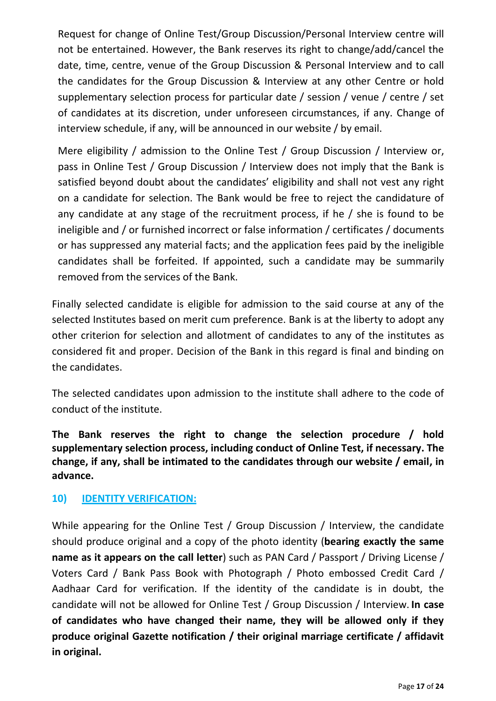Request for change of Online Test/Group Discussion/Personal Interview centre will not be entertained. However, the Bank reserves its right to change/add/cancel the date, time, centre, venue of the Group Discussion & Personal Interview and to call the candidates for the Group Discussion & Interview at any other Centre or hold supplementary selection process for particular date / session / venue / centre / set of candidates at its discretion, under unforeseen circumstances, if any. Change of interview schedule, if any, will be announced in our website / by email.

Mere eligibility / admission to the Online Test / Group Discussion / Interview or, pass in Online Test / Group Discussion / Interview does not imply that the Bank is satisfied beyond doubt about the candidates' eligibility and shall not vest any right on a candidate for selection. The Bank would be free to reject the candidature of any candidate at any stage of the recruitment process, if he / she is found to be ineligible and / or furnished incorrect or false information / certificates / documents or has suppressed any material facts; and the application fees paid by the ineligible candidates shall be forfeited. If appointed, such a candidate may be summarily removed from the services of the Bank.

Finally selected candidate is eligible for admission to the said course at any of the selected Institutes based on merit cum preference. Bank is at the liberty to adopt any other criterion for selection and allotment of candidates to any of the institutes as considered fit and proper. Decision of the Bank in this regard is final and binding on the candidates.

The selected candidates upon admission to the institute shall adhere to the code of conduct of the institute.

**The Bank reserves the right to change the selection procedure / hold supplementary selection process, including conduct of Online Test, if necessary. The change, if any, shall be intimated to the candidates through our website / email, in advance.**

# **10) IDENTITY VERIFICATION:**

While appearing for the Online Test / Group Discussion / Interview, the candidate should produce original and a copy of the photo identity (**bearing exactly the same name as it appears on the call letter**) such as PAN Card / Passport / Driving License / Voters Card / Bank Pass Book with Photograph / Photo embossed Credit Card / Aadhaar Card for verification. If the identity of the candidate is in doubt, the candidate will not be allowed for Online Test / Group Discussion / Interview. **In case of candidates who have changed their name, they will be allowed only if they produce original Gazette notification / their original marriage certificate / affidavit in original.**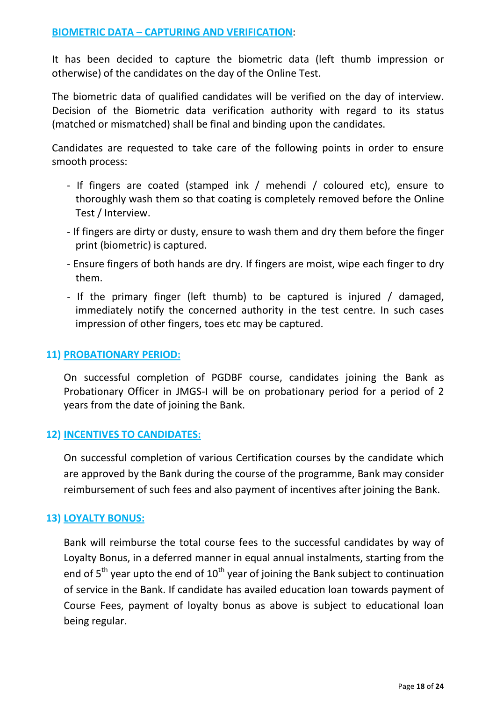It has been decided to capture the biometric data (left thumb impression or otherwise) of the candidates on the day of the Online Test.

The biometric data of qualified candidates will be verified on the day of interview. Decision of the Biometric data verification authority with regard to its status (matched or mismatched) shall be final and binding upon the candidates.

Candidates are requested to take care of the following points in order to ensure smooth process:

- If fingers are coated (stamped ink / mehendi / coloured etc), ensure to thoroughly wash them so that coating is completely removed before the Online Test / Interview.
- If fingers are dirty or dusty, ensure to wash them and dry them before the finger print (biometric) is captured.
- Ensure fingers of both hands are dry. If fingers are moist, wipe each finger to dry them.
- If the primary finger (left thumb) to be captured is injured / damaged, immediately notify the concerned authority in the test centre. In such cases impression of other fingers, toes etc may be captured.

## **11) PROBATIONARY PERIOD:**

On successful completion of PGDBF course, candidates joining the Bank as Probationary Officer in JMGS-I will be on probationary period for a period of 2 years from the date of joining the Bank.

### **12) INCENTIVES TO CANDIDATES:**

On successful completion of various Certification courses by the candidate which are approved by the Bank during the course of the programme, Bank may consider reimbursement of such fees and also payment of incentives after joining the Bank.

# **13) LOYALTY BONUS:**

Bank will reimburse the total course fees to the successful candidates by way of Loyalty Bonus, in a deferred manner in equal annual instalments, starting from the end of 5<sup>th</sup> year upto the end of 10<sup>th</sup> year of joining the Bank subject to continuation of service in the Bank. If candidate has availed education loan towards payment of Course Fees, payment of loyalty bonus as above is subject to educational loan being regular.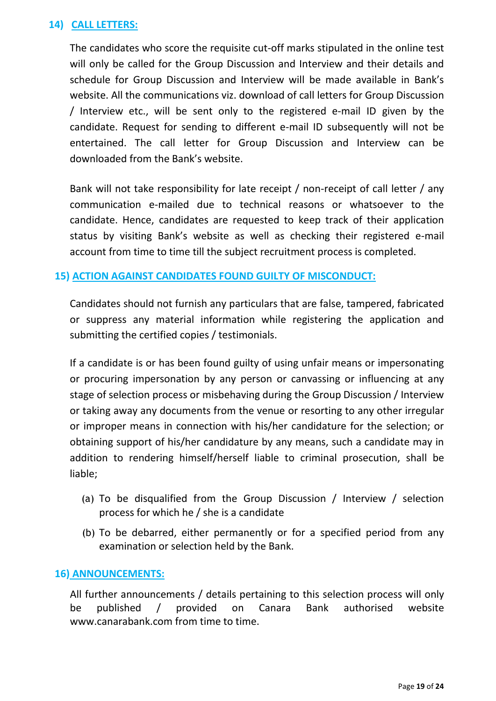### **14) CALL LETTERS:**

The candidates who score the requisite cut-off marks stipulated in the online test will only be called for the Group Discussion and Interview and their details and schedule for Group Discussion and Interview will be made available in Bank's website. All the communications viz. download of call letters for Group Discussion / Interview etc., will be sent only to the registered e-mail ID given by the candidate. Request for sending to different e-mail ID subsequently will not be entertained. The call letter for Group Discussion and Interview can be downloaded from the Bank's website.

Bank will not take responsibility for late receipt / non-receipt of call letter / any communication e-mailed due to technical reasons or whatsoever to the candidate. Hence, candidates are requested to keep track of their application status by visiting Bank's website as well as checking their registered e-mail account from time to time till the subject recruitment process is completed.

### **15) ACTION AGAINST CANDIDATES FOUND GUILTY OF MISCONDUCT:**

Candidates should not furnish any particulars that are false, tampered, fabricated or suppress any material information while registering the application and submitting the certified copies / testimonials.

If a candidate is or has been found guilty of using unfair means or impersonating or procuring impersonation by any person or canvassing or influencing at any stage of selection process or misbehaving during the Group Discussion / Interview or taking away any documents from the venue or resorting to any other irregular or improper means in connection with his/her candidature for the selection; or obtaining support of his/her candidature by any means, such a candidate may in addition to rendering himself/herself liable to criminal prosecution, shall be liable;

- (a) To be disqualified from the Group Discussion / Interview / selection process for which he / she is a candidate
- (b) To be debarred, either permanently or for a specified period from any examination or selection held by the Bank.

### **16) ANNOUNCEMENTS:**

All further announcements / details pertaining to this selection process will only be published / provided on Canara Bank authorised website www.canarabank.com from time to time.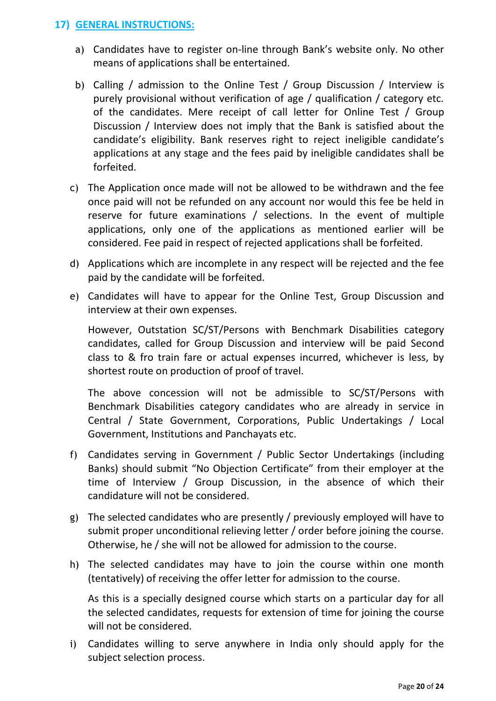### **17) GENERAL INSTRUCTIONS:**

- a) Candidates have to register on-line through Bank's website only. No other means of applications shall be entertained.
- b) Calling / admission to the Online Test / Group Discussion / Interview is purely provisional without verification of age / qualification / category etc. of the candidates. Mere receipt of call letter for Online Test / Group Discussion / Interview does not imply that the Bank is satisfied about the candidate's eligibility. Bank reserves right to reject ineligible candidate's applications at any stage and the fees paid by ineligible candidates shall be forfeited.
- c) The Application once made will not be allowed to be withdrawn and the fee once paid will not be refunded on any account nor would this fee be held in reserve for future examinations / selections. In the event of multiple applications, only one of the applications as mentioned earlier will be considered. Fee paid in respect of rejected applications shall be forfeited.
- d) Applications which are incomplete in any respect will be rejected and the fee paid by the candidate will be forfeited.
- e) Candidates will have to appear for the Online Test, Group Discussion and interview at their own expenses.

However, Outstation SC/ST/Persons with Benchmark Disabilities category candidates, called for Group Discussion and interview will be paid Second class to & fro train fare or actual expenses incurred, whichever is less, by shortest route on production of proof of travel.

The above concession will not be admissible to SC/ST/Persons with Benchmark Disabilities category candidates who are already in service in Central / State Government, Corporations, Public Undertakings / Local Government, Institutions and Panchayats etc.

- f) Candidates serving in Government / Public Sector Undertakings (including Banks) should submit "No Objection Certificate" from their employer at the time of Interview / Group Discussion, in the absence of which their candidature will not be considered.
- g) The selected candidates who are presently / previously employed will have to submit proper unconditional relieving letter / order before joining the course. Otherwise, he / she will not be allowed for admission to the course.
- h) The selected candidates may have to join the course within one month (tentatively) of receiving the offer letter for admission to the course.

As this is a specially designed course which starts on a particular day for all the selected candidates, requests for extension of time for joining the course will not be considered.

i) Candidates willing to serve anywhere in India only should apply for the subject selection process.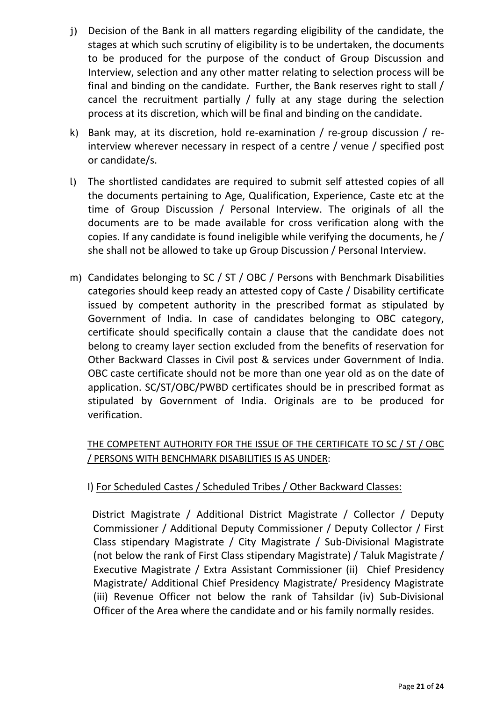- j) Decision of the Bank in all matters regarding eligibility of the candidate, the stages at which such scrutiny of eligibility is to be undertaken, the documents to be produced for the purpose of the conduct of Group Discussion and Interview, selection and any other matter relating to selection process will be final and binding on the candidate. Further, the Bank reserves right to stall / cancel the recruitment partially / fully at any stage during the selection process at its discretion, which will be final and binding on the candidate.
- k) Bank may, at its discretion, hold re-examination / re-group discussion / reinterview wherever necessary in respect of a centre / venue / specified post or candidate/s.
- l) The shortlisted candidates are required to submit self attested copies of all the documents pertaining to Age, Qualification, Experience, Caste etc at the time of Group Discussion / Personal Interview. The originals of all the documents are to be made available for cross verification along with the copies. If any candidate is found ineligible while verifying the documents, he / she shall not be allowed to take up Group Discussion / Personal Interview.
- m) Candidates belonging to SC / ST / OBC / Persons with Benchmark Disabilities categories should keep ready an attested copy of Caste / Disability certificate issued by competent authority in the prescribed format as stipulated by Government of India. In case of candidates belonging to OBC category, certificate should specifically contain a clause that the candidate does not belong to creamy layer section excluded from the benefits of reservation for Other Backward Classes in Civil post & services under Government of India. OBC caste certificate should not be more than one year old as on the date of application. SC/ST/OBC/PWBD certificates should be in prescribed format as stipulated by Government of India. Originals are to be produced for verification.

# THE COMPETENT AUTHORITY FOR THE ISSUE OF THE CERTIFICATE TO SC / ST / OBC / PERSONS WITH BENCHMARK DISABILITIES IS AS UNDER:

# I) For Scheduled Castes / Scheduled Tribes / Other Backward Classes:

 District Magistrate / Additional District Magistrate / Collector / Deputy Commissioner / Additional Deputy Commissioner / Deputy Collector / First Class stipendary Magistrate / City Magistrate / Sub-Divisional Magistrate (not below the rank of First Class stipendary Magistrate) / Taluk Magistrate / Executive Magistrate / Extra Assistant Commissioner (ii)Chief Presidency Magistrate/ Additional Chief Presidency Magistrate/ Presidency Magistrate (iii) Revenue Officer not below the rank of Tahsildar (iv) Sub-Divisional Officer of the Area where the candidate and or his family normally resides.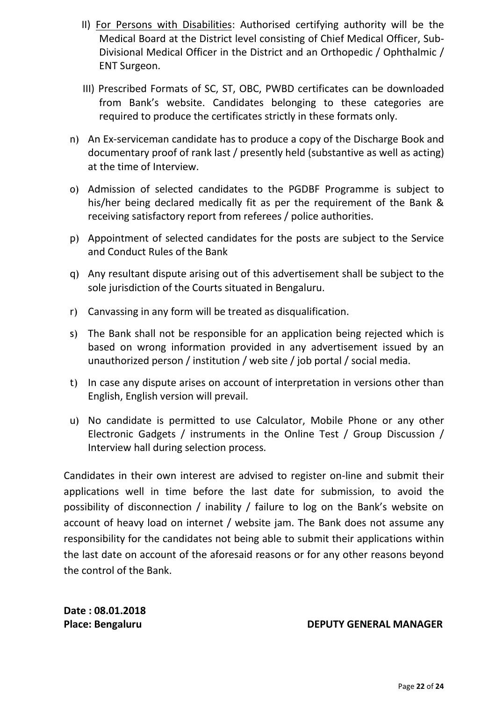- II) For Persons with Disabilities: Authorised certifying authority will be the Medical Board at the District level consisting of Chief Medical Officer, Sub-Divisional Medical Officer in the District and an Orthopedic / Ophthalmic / ENT Surgeon.
- III) Prescribed Formats of SC, ST, OBC, PWBD certificates can be downloaded from Bank's website. Candidates belonging to these categories are required to produce the certificates strictly in these formats only.
- n) An Ex-serviceman candidate has to produce a copy of the Discharge Book and documentary proof of rank last / presently held (substantive as well as acting) at the time of Interview.
- o) Admission of selected candidates to the PGDBF Programme is subject to his/her being declared medically fit as per the requirement of the Bank & receiving satisfactory report from referees / police authorities.
- p) Appointment of selected candidates for the posts are subject to the Service and Conduct Rules of the Bank
- q) Any resultant dispute arising out of this advertisement shall be subject to the sole jurisdiction of the Courts situated in Bengaluru.
- r) Canvassing in any form will be treated as disqualification.
- s) The Bank shall not be responsible for an application being rejected which is based on wrong information provided in any advertisement issued by an unauthorized person / institution / web site / job portal / social media.
- t) In case any dispute arises on account of interpretation in versions other than English, English version will prevail.
- u) No candidate is permitted to use Calculator, Mobile Phone or any other Electronic Gadgets / instruments in the Online Test / Group Discussion / Interview hall during selection process.

Candidates in their own interest are advised to register on-line and submit their applications well in time before the last date for submission, to avoid the possibility of disconnection / inability / failure to log on the Bank's website on account of heavy load on internet / website jam. The Bank does not assume any responsibility for the candidates not being able to submit their applications within the last date on account of the aforesaid reasons or for any other reasons beyond the control of the Bank.

**Date : 08.01.2018** 

Place: Bengaluru **DEPUTY GENERAL MANAGER**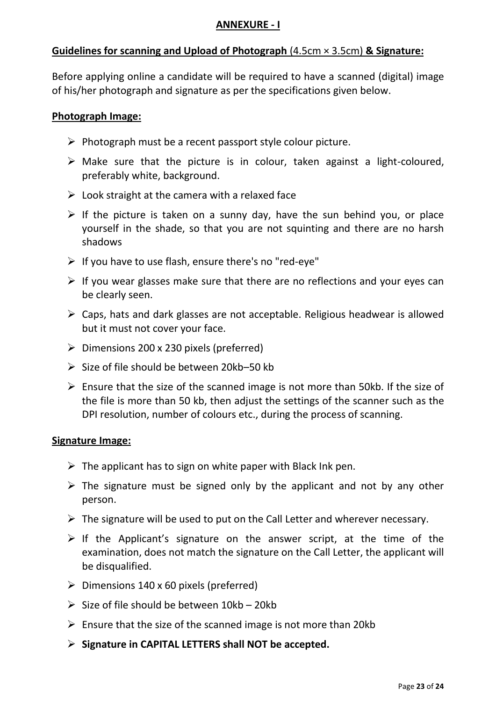### **ANNEXURE - I**

## **Guidelines for scanning and Upload of Photograph** (4.5cm × 3.5cm) **& Signature:**

Before applying online a candidate will be required to have a scanned (digital) image of his/her photograph and signature as per the specifications given below.

#### **Photograph Image:**

- $\triangleright$  Photograph must be a recent passport style colour picture.
- $\triangleright$  Make sure that the picture is in colour, taken against a light-coloured, preferably white, background.
- $\triangleright$  Look straight at the camera with a relaxed face
- $\triangleright$  If the picture is taken on a sunny day, have the sun behind you, or place yourself in the shade, so that you are not squinting and there are no harsh shadows
- $\triangleright$  If you have to use flash, ensure there's no "red-eye"
- $\triangleright$  If you wear glasses make sure that there are no reflections and your eyes can be clearly seen.
- $\triangleright$  Caps, hats and dark glasses are not acceptable. Religious headwear is allowed but it must not cover your face.
- $\triangleright$  Dimensions 200 x 230 pixels (preferred)
- $\geq$  Size of file should be between 20kb–50 kb
- $\triangleright$  Ensure that the size of the scanned image is not more than 50kb. If the size of the file is more than 50 kb, then adjust the settings of the scanner such as the DPI resolution, number of colours etc., during the process of scanning.

### **Signature Image:**

- $\triangleright$  The applicant has to sign on white paper with Black Ink pen.
- $\triangleright$  The signature must be signed only by the applicant and not by any other person.
- $\triangleright$  The signature will be used to put on the Call Letter and wherever necessary.
- $\triangleright$  If the Applicant's signature on the answer script, at the time of the examination, does not match the signature on the Call Letter, the applicant will be disqualified.
- $\triangleright$  Dimensions 140 x 60 pixels (preferred)
- $\triangleright$  Size of file should be between 10kb 20kb
- $\triangleright$  Ensure that the size of the scanned image is not more than 20kb
- **Signature in CAPITAL LETTERS shall NOT be accepted.**